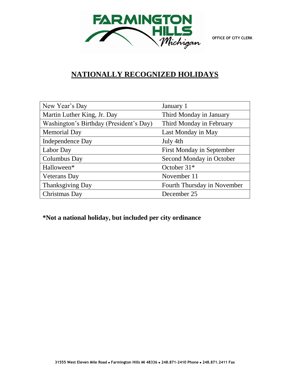

## **NATIONALLY RECOGNIZED HOLIDAYS**

| New Year's Day                          | January 1                        |
|-----------------------------------------|----------------------------------|
| Martin Luther King, Jr. Day             | Third Monday in January          |
| Washington's Birthday (President's Day) | Third Monday in February         |
| <b>Memorial Day</b>                     | Last Monday in May               |
| Independence Day                        | July 4th                         |
| Labor Day                               | <b>First Monday in September</b> |
| Columbus Day                            | Second Monday in October         |
| Halloween*                              | October $31*$                    |
| <b>Veterans</b> Day                     | November 11                      |
| Thanksgiving Day                        | Fourth Thursday in November      |
| Christmas Day                           | December 25                      |

**\*Not a national holiday, but included per city ordinance**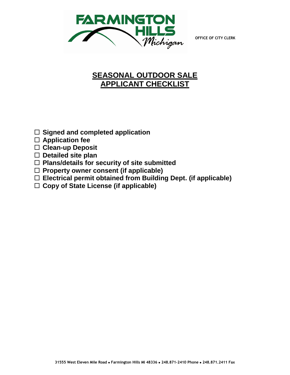**OFFICE OF CITY CLERK**



# **SEASONAL OUTDOOR SALE APPLICANT CHECKLIST**

- **Signed and completed application**
- **Application fee**
- **Clean-up Deposit**
- **Detailed site plan**
- **Plans/details for security of site submitted**
- **Property owner consent (if applicable)**
- **Electrical permit obtained from Building Dept. (if applicable)**
- **Copy of State License (if applicable)**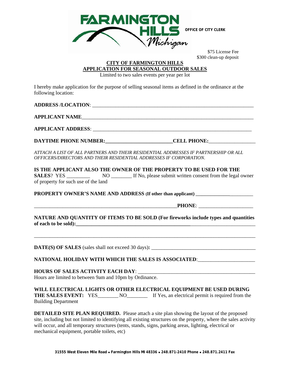

 \$75 License Fee \$300 clean-up deposit

## **CITY OF FARMINGTON HILLS APPLICATION FOR SEASONAL OUTDOOR SALES**

Limited to two sales events per year per lot

I hereby make application for the purpose of selling seasonal items as defined in the ordinance at the following location:

|                                                         | DAYTIME PHONE NUMBER: CELL PHONE:                                                                                                                                                                                                                                                                                              |  |  |  |
|---------------------------------------------------------|--------------------------------------------------------------------------------------------------------------------------------------------------------------------------------------------------------------------------------------------------------------------------------------------------------------------------------|--|--|--|
|                                                         | ATTACH A LIST OF ALL PARTNERS AND THEIR RESIDENTIAL ADDRESSES IF PARTNERSHIP OR ALL<br>OFFICERS/DIRECTORS AND THEIR RESIDENTIAL ADDRESSES IF CORPORATION.                                                                                                                                                                      |  |  |  |
|                                                         | IS THE APPLICANT ALSO THE OWNER OF THE PROPERTY TO BE USED FOR THE                                                                                                                                                                                                                                                             |  |  |  |
|                                                         |                                                                                                                                                                                                                                                                                                                                |  |  |  |
| of property for such use of the land                    |                                                                                                                                                                                                                                                                                                                                |  |  |  |
|                                                         | PROPERTY OWNER'S NAME AND ADDRESS (If other than applicant) ____________________                                                                                                                                                                                                                                               |  |  |  |
|                                                         |                                                                                                                                                                                                                                                                                                                                |  |  |  |
|                                                         | NATURE AND QUANTITY OF ITEMS TO BE SOLD (For fireworks include types and quantities                                                                                                                                                                                                                                            |  |  |  |
|                                                         |                                                                                                                                                                                                                                                                                                                                |  |  |  |
|                                                         | NATIONAL HOLIDAY WITH WHICH THE SALES IS ASSOCIATED: ___________________________                                                                                                                                                                                                                                               |  |  |  |
|                                                         |                                                                                                                                                                                                                                                                                                                                |  |  |  |
| Hours are limited to between 9am and 10pm by Ordinance. |                                                                                                                                                                                                                                                                                                                                |  |  |  |
| <b>Building Department</b>                              | WILL ELECTRICAL LIGHTS OR OTHER ELECTRICAL EQUIPMENT BE USED DURING<br>THE SALES EVENT: YES_________ NO___________ If Yes, an electrical permit is required from the                                                                                                                                                           |  |  |  |
|                                                         | <b>DETAILED SITE PLAN REQUIRED.</b> Please attach a site plan showing the layout of the proposed<br>site, including but not limited to identifying all existing structures on the property, where the sales activity<br>will occur, and all temporary structures (tents, stands, signs, parking areas, lighting, electrical or |  |  |  |

mechanical equipment, portable toilets, etc)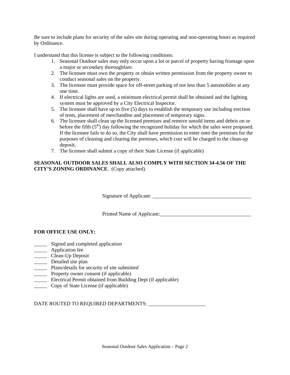Be sure to include plans for security of the sales site during operating and non-operating hours as required by Ordinance.

I understand that this license is subject to the following conditions:

- 1. Seasonal Outdoor sales may only occur upon a lot or parcel of property having frontage upon a major or secondary thoroughfare.
- 2. The licensee must own the property or obtain written permission from the property owner to conduct seasonal sales on the property.
- 3. The licensee must provide space for off-street parking of not less than 5 automobiles at any one time.
- 4. If electrical lights are used, a minimum electrical permit shall be obtained and the lighting system must be approved by a City Electrical Inspector.
- 5. The licensee shall have up to five (5) days to establish the temporary use including erection of tents, placement of merchandise and placement of temporary signs.
- 6. The licensee shall clean up the licensed premises and remove unsold items and debris on or before the fifth  $(5<sup>th</sup>)$  day following the recognized holiday for which the sales were proposed. If the licensee fails to do so, the City shall have permission to enter onto the premises for the purposes of cleaning and clearing the premises, which cost will be charged to the clean-up deposit.
- 7. The licensee shall submit a copy of their State License (if applicable)

## **SEASONAL OUTDOOR SALES SHALL ALSO COMPLY WITH SECTION 34-4.56 OF THE CITY'S ZONING ORDINANCE**. (Copy attached).

Signature of Applicant:

Printed Name of Applicant:\_\_\_\_\_\_\_\_\_\_\_\_\_\_\_\_\_\_\_\_\_\_\_\_\_\_\_\_\_\_\_\_\_\_\_

## **FOR OFFICE USE ONLY:**

- \_\_\_\_\_ Signed and completed application
- \_\_\_\_\_ Application fee
- \_\_\_\_\_ Clean-Up Deposit
- **Detailed site plan**
- \_\_\_\_\_ Plans/details for security of site submitted
- \_\_\_\_\_ Property owner consent (if applicable)
- \_\_\_\_\_ Electrical Permit obtained from Building Dept (if applicable)
- \_\_\_\_\_ Copy of State License (if applicable)

DATE ROUTED TO REQUIRED DEPARTMENTS: \_\_\_\_\_\_\_\_\_\_\_\_\_\_\_\_\_\_\_\_\_\_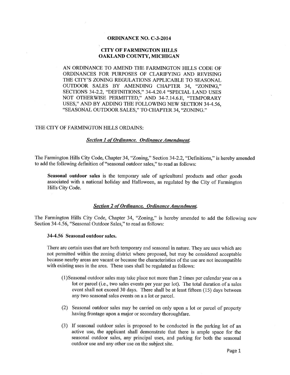### **ORDINANCE NO. C-3-2014**

### **CITY OF FARMINGTON HILLS** OAKLAND COUNTY, MICHIGAN

AN ORDINANCE TO AMEND THE FARMINGTON HILLS CODE OF ORDINANCES FOR PURPOSES OF CLARIFYING AND REVISING THE CITY'S ZONING REGULATIONS APPLICABLE TO SEASONAL OUTDOOR SALES BY AMENDING CHAPTER 34, "ZONING," SECTIONS 34-2.2, "DEFINITIONS," 34-4.20.4 "SPECIAL LAND USES NOT OTHERWISE PERMITTED," AND 34-7.14.6.E, "TEMPORARY USES," AND BY ADDING THE FOLLOWING NEW SECTION 34-4.56, "SEASONAL OUTDOOR SALES," TO CHAPTER 34, "ZONING."

### THE CITY OF FARMINGTON HILLS ORDAINS:

#### **Section 1 of Ordinance. Ordinance Amendment.**

The Farmington Hills City Code, Chapter 34, "Zoning," Section 34-2.2, "Definitions," is hereby amended to add the following definition of "seasonal outdoor sales," to read as follows:

Seasonal outdoor sales is the temporary sale of agricultural products and other goods associated with a national holiday and Halloween, as regulated by the City of Farmington Hills City Code.

## **Section 2 of Ordinance. Ordinance Amendment.**

The Farmington Hills City Code, Chapter 34, "Zoning," is hereby amended to add the following new Section 34-4.56, "Seasonal Outdoor Sales," to read as follows:

#### 34-4.56 Seasonal outdoor sales.

There are certain uses that are both temporary and seasonal in nature. They are uses which are not permitted within the zoning district where proposed, but may be considered acceptable because nearby areas are vacant or because the characteristics of the use are not incompatible with existing uses in the area. These uses shall be regulated as follows:

- (1) Seasonal outdoor sales may take place not more than 2 times per calendar year on a lot or parcel (i.e., two sales events per year per lot). The total duration of a sales event shall not exceed 30 days. There shall be at least fifteen (15) days between any two seasonal sales events on a a lot or parcel.
- (2) Seasonal outdoor sales may be carried on only upon a lot or parcel of property having frontage upon a major or secondary thoroughfare.
- (3) If seasonal outdoor sales is proposed to be conducted in the parking lot of an active use, the applicant shall demonstrate that there is ample space for the seasonal outdoor sales, any principal uses, and parking for both the seasonal outdoor use and any other use on the subject site.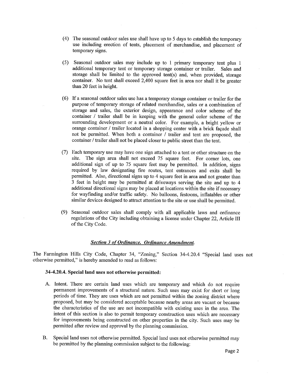- (4) The seasonal outdoor sales use shall have up to 5 days to establish the temporary use including erection of tents, placement of merchandise, and placement of temporary signs.
- (5) Seasonal outdoor sales may include up to 1 primary temporary tent plus 1 additional temporary tent or temporary storage container or trailer. Sales and storage shall be limited to the approved tent(s) and, when provided, storage container. No tent shall exceed 2,400 square feet in area nor shall it be greater than 20 feet in height.
- (6) If a seasonal outdoor sales use has a temporary storage container or trailer for the purpose of temporary storage of related merchandise, sales or a combination of storage and sales, the exterior design, appearance and color scheme of the container / trailer shall be in keeping with the general color scheme of the surrounding development or a neutral color. For example, a bright yellow or orange container / trailer located in a shopping center with a brick façade shall not be permitted. When both a container / trailer and tent are proposed, the container / trailer shall not be placed closer to public street than the tent.
- (7) Each temporary use may have one sign attached to a tent or other structure on the site. The sign area shall not exceed 75 square feet. For corner lots, one additional sign of up to 75 square feet may be permitted. In addition, signs required by law designating fire routes, tent entrances and exits shall be permitted. Also, directional signs up to 4 square feet in area and not greater than 3 feet in height may be permitted at driveways serving the site and up to 4 additional directional signs may be placed at locations within the site if necessary for wayfinding and/or traffic safety. No balloons, festoons, inflatables or other similar devices designed to attract attention to the site or use shall be permitted.
- (9) Seasonal outdoor sales shall comply with all applicable laws and ordinance regulations of the City including obtaining a license under Chapter 22, Article III of the City Code.

## **Section 3 of Ordinance. Ordinance Amendment.**

The Farmington Hills City Code, Chapter 34, "Zoning," Section 34-4.20.4 "Special land uses not otherwise permitted," is hereby amended to read as follows:

#### 34-4.20.4. Special land uses not otherwise permitted:

- A. Intent. There are certain land uses which are temporary and which do not require permanent improvements of a structural nature. Such uses may exist for short or long periods of time. They are uses which are not permitted within the zoning district where proposed, but may be considered acceptable because nearby areas are vacant or because the characteristics of the use are not incompatible with existing uses in the area. The intent of this section is also to permit temporary construction uses which are necessary for improvements being constructed on other properties in the city. Such uses may be permitted after review and approval by the planning commission.
- Special land uses not otherwise permitted. Special land uses not otherwise permitted may B. be permitted by the planning commission subject to the following: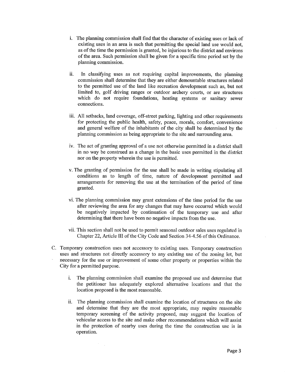- i. The planning commission shall find that the character of existing uses or lack of existing uses in an area is such that permitting the special land use would not, as of the time the permission is granted, be injurious to the district and environs of the area. Such permission shall be given for a specific time period set by the planning commission.
- ii. In classifying uses as not requiring capital improvements, the planning commission shall determine that they are either demountable structures related to the permitted use of the land like recreation development such as, but not limited to, golf driving ranges or outdoor archery courts, or are structures which do not require foundations, heating systems or sanitary sewer connections.
- iii. All setbacks, land coverage, off-street parking, lighting and other requirements for protecting the public health, safety, peace, morals, comfort, convenience and general welfare of the inhabitants of the city shall be determined by the planning commission as being appropriate to the site and surrounding area.
- iv. The act of granting approval of a use not otherwise permitted in a district shall in no way be construed as a change in the basic uses permitted in the district nor on the property wherein the use is permitted.
- v. The granting of permission for the use shall be made in writing stipulating all conditions as to length of time, nature of development permitted and arrangements for removing the use at the termination of the period of time granted.
- vi. The planning commission may grant extensions of the time period for the use after reviewing the area for any changes that may have occurred which would be negatively impacted by continuation of the temporary use and after determining that there have been no negative impacts from the use.
- vii. This section shall not be used to permit seasonal outdoor sales uses regulated in Chapter 22, Article III of the City Code and Section 34-4.56 of this Ordinance.
- C. Temporary construction uses not accessory to existing uses. Temporary construction uses and structures not directly accessory to any existing use of the zoning lot, but necessary for the use or improvement of some other property or properties within the City for a permitted purpose.
	- i. The planning commission shall examine the proposed use and determine that the petitioner has adequately explored alternative locations and that the location proposed is the most reasonable.
	- ii. The planning commission shall examine the location of structures on the site and determine that they are the most appropriate, may require reasonable temporary screening of the activity proposed, may suggest the location of vehicular access to the site and make other recommendations which will assist in the protection of nearby uses during the time the construction use is in operation.

 $\mathcal{P}^{\text{max}}_{\text{max}}$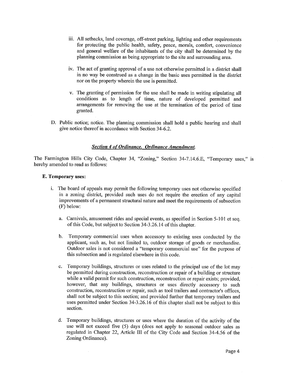- iii. All setbacks, land coverage, off-street parking, lighting and other requirements for protecting the public health, safety, peace, morals, comfort, convenience and general welfare of the inhabitants of the city shall be determined by the planning commission as being appropriate to the site and surrounding area.
- iv. The act of granting approval of a use not otherwise permitted in a district shall in no way be construed as a change in the basic uses permitted in the district nor on the property wherein the use is permitted.
- v. The granting of permission for the use shall be made in writing stipulating all conditions as to length of time, nature of developed permitted and arrangements for removing the use at the termination of the period of time granted.
- D. Public notice; notice. The planning commission shall hold a public hearing and shall give notice thereof in accordance with Section 34-6.2.

#### **Section 4 of Ordinance. Ordinance Amendment.**

The Farmington Hills City Code, Chapter 34, "Zoning," Section 34-7.14.6.E, "Temporary uses," is hereby amended to read as follows:

#### E. Temporary uses:

- i. The board of appeals may permit the following temporary uses not otherwise specified in a zoning district, provided such uses do not require the erection of any capital improvements of a permanent structural nature and meet the requirements of subsection (F) below:
	- a. Carnivals, amusement rides and special events, as specified in Section 5-101 et seq. of this Code, but subject to Section 34-3.26.14 of this chapter.
	- $\mathbf{b}$ . Temporary commercial uses when accessory to existing uses conducted by the applicant, such as, but not limited to, outdoor storage of goods or merchandise. Outdoor sales is not considered a "temporary commercial use" for the purpose of this subsection and is regulated elsewhere in this code.
	- Temporary buildings, structures or uses related to the principal use of the lot may  $\mathbf{c}$ . be permitted during construction, reconstruction or repair of a building or structure while a valid permit for such construction, reconstruction or repair exists; provided, however, that any buildings, structures or uses directly accessory to such construction, reconstruction or repair, such as tool trailers and contractor's offices, shall not be subject to this section; and provided further that temporary trailers and uses permitted under Section 34-3.26.16 of this chapter shall not be subject to this section.
	- d. Temporary buildings, structures or uses where the duration of the activity of the use will not exceed five (5) days (does not apply to seasonal outdoor sales as regulated in Chapter 22, Article III of the City Code and Section 34-4.56 of the Zoning Ordinance).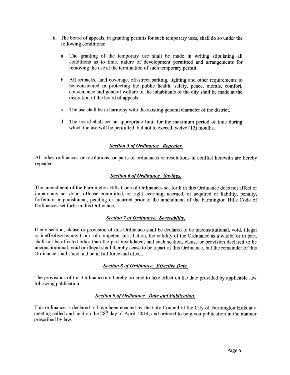- ii. The board of appeals, in granting permits for such temporary uses, shall do so under the following conditions:
	- a. The granting of the temporary use shall be made in writing stipulating all conditions as to time, nature of development permitted and arrangements for removing the use at the termination of such temporary permit.
	- b. All setbacks, land coverage, off-street parking, lighting and other requirements to be considered in protecting the public health, safety, peace, morals, comfort, convenience and general welfare of the inhabitants of the city shall be made at the discretion of the board of appeals.
	- The use shall be in harmony with the existing general character of the district.  $\mathbf{c}$ .
	- d. The board shall set an appropriate limit for the maximum period of time during which the use will be permitted, but not to exceed twelve (12) months.

## **Section 5 of Ordinance. Repealer.**

All other ordinances or resolutions, or parts of ordinances or resolutions in conflict herewith are hereby repealed.

#### **Section 6 of Ordinance. Savings.**

The amendment of the Farmington Hills Code of Ordinances set forth in this Ordinance does not affect or impair any act done, offense committed, or right accruing, accrued, or acquired or liability, penalty, forfeiture or punishment, pending or incurred prior to the amendment of the Farmington Hills Code of Ordinances set forth in this Ordinance.

#### **Section 7 of Ordinance. Severability.**

If any section, clause or provision of this Ordinance shall be declared to be unconstitutional, void, illegal or ineffective by any Court of competent jurisdiction, the validity of the Ordinance as a whole, or in part, shall not be affected other than the part invalidated, and such section, clause or provision declared to be unconstitutional, void or illegal shall thereby cease to be a part of this Ordinance, but the remainder of this Ordinance shall stand and be in full force and effect.

#### **Section 8 of Ordinance. Effective Date.**

The provisions of this Ordinance are hereby ordered to take effect on the date provided by applicable law following publication.

#### **Section 9 of Ordinance. Date and Publication.**

This ordinance is declared to have been enacted by the City Council of the City of Farmington Hills at a meeting called and held on the 28<sup>th</sup> day of April, 2014, and ordered to be given publication in the manner prescribed by law.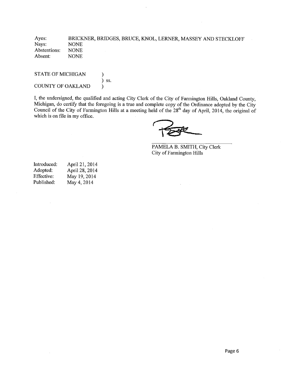Ayes: BRICKNER, BRIDGES, BRUCE, KNOL, LERNER, MASSEY AND STECKLOFF Nays: **NONE** Abstentions: **NONE** Absent: **NONE** 

**STATE OF MICHIGAN**  $\mathcal{)}$  $\int$  ss. **COUNTY OF OAKLAND** 

I, the undersigned, the qualified and acting City Clerk of the City of Farmington Hills, Oakland County, Michigan, do certify that the foregoing is a true and complete copy of the Ordinance adopted by the City Council of the City of Farmington Hills at a meeting held of the 28<sup>th</sup> day of April, 2014, the original of which is on file in my office.

PAMELA B. SMITH, City Clerk City of Farmington Hills

| April 21, 2014 |
|----------------|
| April 28, 2014 |
| May 19, 2014   |
| May 4, 2014    |
|                |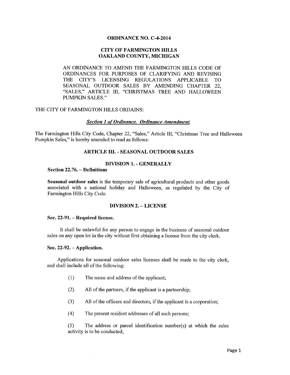#### **ORDINANCE NO. C-4-2014**

## **CITY OF FARMINGTON HILLS** OAKLAND COUNTY, MICHIGAN

AN ORDINANCE TO AMEND THE FARMINGTON HILLS CODE OF ORDINANCES FOR PURPOSES OF CLARIFYING AND REVISING **THE** CITY'S LICENSING REGULATIONS APPLICABLE **TO** SEASONAL OUTDOOR SALES BY AMENDING CHAPTER 22, "SALES," ARTICLE III, "CHRISTMAS TREE AND HALLOWEEN **PUMPKIN SALES."** 

### THE CITY OF FARMINGTON HILLS ORDAINS:

#### **Section 1 of Ordinance. Ordinance Amendment.**

The Farmington Hills City Code, Chapter 22, "Sales," Article III, "Christmas Tree and Halloween Pumpkin Sales," is hereby amended to read as follows:

#### **ARTICLE III. - SEASONAL OUTDOOR SALES**

#### **DIVISION 1. - GENERALLY**

## Section 22.76. - Definitions

Seasonal outdoor sales is the temporary sale of agricultural products and other goods associated with a national holiday and Halloween, as regulated by the City of Farmington Hills City Code.

#### **DIVISION 2. - LICENSE**

#### Sec. 22-91. – Required license.

It shall be unlawful for any person to engage in the business of seasonal outdoor sales on any open lot in the city without first obtaining a license from the city clerk.

#### Sec. 22-92. - Application.

 $\sim 100$ 

Applications for seasonal outdoor sales licenses shall be made to the city clerk, and shall include all of the following:

- $(1)$ The name and address of the applicant;
- $(2)$ All of the partners, if the applicant is a partnership;
- $(3)$ All of the officers and directors, if the applicant is a corporation;
- $(4)$ The present resident addresses of all such persons;

The address or parcel identification number(s) at which the sales  $(5)$ activity is to be conducted;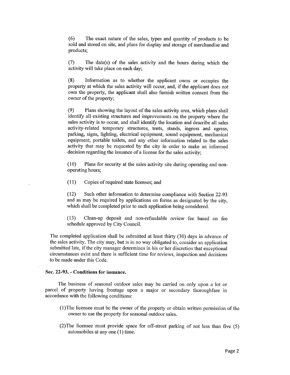$(6)$ The exact nature of the sales, types and quantity of products to be sold and stored on site, and plans for display and storage of merchandise and products;

 $(7)$ The date(s) of the sales activity and the hours during which the activity will take place on each day;

 $(8)$ Information as to whether the applicant owns or occupies the property at which the sales activity will occur, and, if the applicant does not own the property, the applicant shall also furnish written consent from the owner of the property;

 $(9)$ Plans showing the layout of the sales activity area, which plans shall identify all existing structures and improvements on the property where the sales activity is to occur, and shall identify the location and describe all sales activity-related temporary structures, tents, stands, ingress and egress, parking, signs, lighting, electrical equipment, sound equipment, mechanical equipment, portable toilets, and any other information related to the sales activity that may be requested by the city in order to make an informed decision regarding the issuance of a license for the sales activity;

 $(10)$ Plans for security at the sales activity site during operating and nonoperating hours;

 $(11)$ Copies of required state licenses; and

Such other information to determine compliance with Section 22-93  $(12)$ and as may be required by applications on forms as designated by the city, which shall be completed prior to such application being considered.

Clean-up deposit and non-refundable review fee based on fee  $(13)$ schedule approved by City Council.

The completed application shall be submitted at least thirty (30) days in advance of the sales activity. The city may, but is in no way obligated to, consider an application submitted late, if the city manager determines in his or her discretion that exceptional circumstances exist and there is sufficient time for reviews, inspection and decisions to be made under this Code.

#### Sec. 22-93. - Conditions for issuance.

The business of seasonal outdoor sales may be carried on only upon a lot or parcel of property having frontage upon a major or secondary thoroughfare in accordance with the following conditions:

- (1) The licensee must be the owner of the property or obtain written permission of the owner to use the property for seasonal outdoor sales.
- (2) The licensee must provide space for off-street parking of not less than five (5) automobiles at any one (1) time.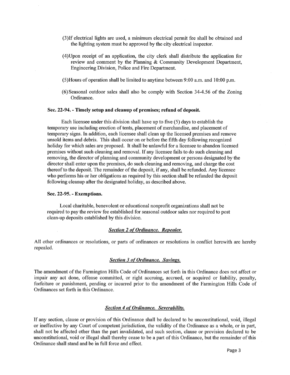- (3) If electrical lights are used, a minimum electrical permit fee shall be obtained and the lighting system must be approved by the city electrical inspector.
- (4) Upon receipt of an application, the city clerk shall distribute the application for review and comment by the Planning & Community Development Department, Engineering Division, Police and Fire Department.
- $(5)$ Hours of operation shall be limited to anytime between 9:00 a.m. and 10:00 p.m.
- (6) Seasonal outdoor sales shall also be comply with Section 34-4.56 of the Zoning Ordinance.

### Sec. 22-94. - Timely setup and cleanup of premises; refund of deposit.

Each licensee under this division shall have up to five  $(5)$  days to establish the temporary use including erection of tents, placement of merchandise, and placement of temporary signs. In addition, each licensee shall clean up the licensed premises and remove unsold items and debris. This shall occur on or before the fifth day following recognized holiday for which sales are proposed. It shall be unlawful for a licensee to abandon licensed premises without such cleaning and removal. If any licensee fails to do such cleaning and removing, the director of planning and community development or persons designated by the director shall enter upon the premises, do such cleaning and removing, and charge the cost thereof to the deposit. The remainder of the deposit, if any, shall be refunded. Any licensee who performs his or her obligations as required by this section shall be refunded the deposit following cleanup after the designated holiday, as described above.

#### Sec. 22-95. - Exemptions.

Local charitable, benevolent or educational nonprofit organizations shall not be required to pay the review fee established for seasonal outdoor sales nor required to post clean-up deposits established by this division.

### **Section 2 of Ordinance. Repealer.**

All other ordinances or resolutions, or parts of ordinances or resolutions in conflict herewith are hereby repealed.

#### **Section 3 of Ordinance. Savings.**

The amendment of the Farmington Hills Code of Ordinances set forth in this Ordinance does not affect or impair any act done, offense committed, or right accruing, accrued, or acquired or liability, penalty, forfeiture or punishment, pending or incurred prior to the amendment of the Farmington Hills Code of Ordinances set forth in this Ordinance.

#### **Section 4 of Ordinance. Severability.**

If any section, clause or provision of this Ordinance shall be declared to be unconstitutional, void, illegal or ineffective by any Court of competent jurisdiction, the validity of the Ordinance as a whole, or in part, shall not be affected other than the part invalidated, and such section, clause or provision declared to be unconstitutional, void or illegal shall thereby cease to be a part of this Ordinance, but the remainder of this Ordinance shall stand and be in full force and effect.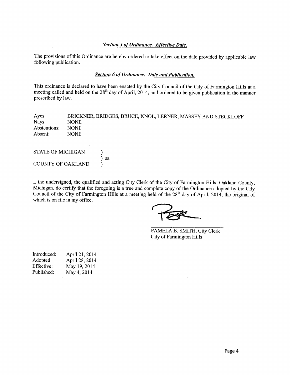## **Section 5 of Ordinance. Effective Date.**

The provisions of this Ordinance are hereby ordered to take effect on the date provided by applicable law following publication.

#### **Section 6 of Ordinance. Date and Publication.**

This ordinance is declared to have been enacted by the City Council of the City of Farmington Hills at a meeting called and held on the 28<sup>th</sup> day of April, 2014, and ordered to be given publication in the manner prescribed by law.

| Ayes:        | BRICKNER, BRIDGES, BRUCE, KNOL, LERNER, MASSEY AND STECKLOFF |
|--------------|--------------------------------------------------------------|
| Nays:        | <b>NONE</b>                                                  |
| Abstentions: | NONE.                                                        |
| Absent:      | NONE.                                                        |

| STATE OF MICHIGAN |            |
|-------------------|------------|
|                   | $\sum$ SS. |
| COUNTY OF OAKLAND |            |

 $\mathcal{A}(\mathcal{A})$  and  $\mathcal{A}(\mathcal{A})$  and  $\mathcal{A}(\mathcal{A})$ 

I, the undersigned, the qualified and acting City Clerk of the City of Farmington Hills, Oakland County, Michigan, do certify that the foregoing is a true and complete copy of the Ordinance adopted by the City Council of the City of Farmington Hills at a meeting held of the  $28<sup>th</sup>$  day of April, 2014, the original of which is on file in my office.

PAMELA B. SMITH, City Clerk City of Farmington Hills

| Introduced: | April 21, 2014 |
|-------------|----------------|
| Adopted:    | April 28, 2014 |
| Effective:  | May 19, 2014   |
| Published:  | May 4, 2014    |